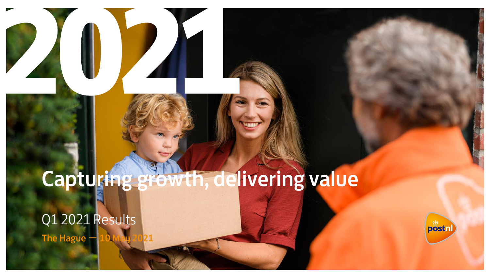## Capturing growth, delivering value Q1 2021 Results The Hague -

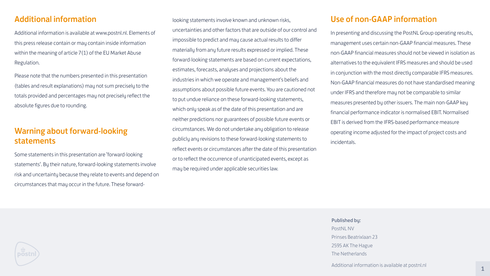#### Published by:

PostNL NV Prinses Beatrixlaan 23 2595 AK The Hague The Netherlands

Additional information is available at postnl.nl

#### Additional information

Additional information is available at www.postnl.nl. Elements of this press release contain or may contain inside information within the meaning of article 7(1) of the EU Market Abuse Regulation.

Please note that the numbers presented in this presentation (tables and result explanations) may not sum precisely to the totals provided and percentages may not precisely reflect the absolute figures due to rounding.

#### Warning about forward-looking statements

Some statements in this presentation are 'forward-looking statements'. By their nature, forward-looking statements involve risk and uncertainty because they relate to events and depend on circumstances that may occur in the future. These forwardlooking statements involve known and unknown risks, uncertainties and other factors that are outside of our control and impossible to predict and may cause actual results to differ materially from any future results expressed or implied. These forward-looking statements are based on current expectations, estimates, forecasts, analyses and projections about the industries in which we operate and management's beliefs and assumptions about possible future events. You are cautioned not to put undue reliance on these forward-looking statements, which only speak as of the date of this presentation and are neither predictions nor guarantees of possible future events or circumstances. We do not undertake any obligation to release publicly any revisions to these forward-looking statements to reflect events or circumstances after the date of this presentation or to reflect the occurrence of unanticipated events, except as may be required under applicable securities law.



- 
- 
- 
- 
- 
- 
- 
- 
- 
- 
- 
- 
- 
- 

#### Use of non-GAAP information

In presenting and discussing the PostNL Group operating results, management uses certain non-GAAP financial measures. These non-GAAP financial measures should not be viewed in isolation as alternatives to the equivalent IFRS measures and should be used in conjunction with the most directly comparable IFRS measures. Non-GAAP financial measures do not have standardised meaning under IFRS and therefore may not be comparable to similar measures presented by other issuers. The main non-GAAP key financial performance indicator is normalised EBIT. Normalised EBIT is derived from the IFRS-based performance measure operating income adjusted for the impact of project costs and incidentals.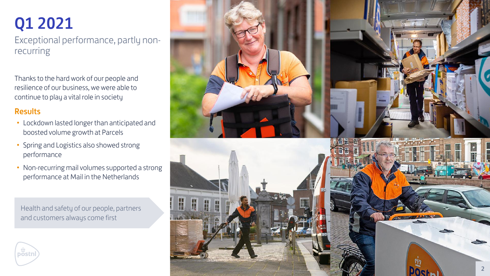

Exceptional performance, partly non recurring

## Q1 2021

Thanks to the hard work of our people and resilience of our business, we were able to continue to play a vital role in society

#### Results

postni

- Lockdown lasted longer than anticipated and boosted volume growth at Parcels
- Spring and Logistics also showed strong performance
- Non-recurring mail volumes supported a strong performance at Mail in the Netherlands

Health and safety of our people, partners and customers always come first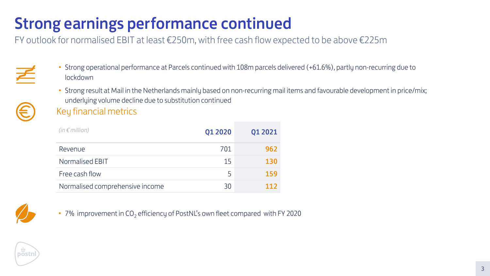### FY outlook for normalised EBIT at least €250m, with free cash flow expected to be above €225m Strong earnings performance continued

| $(in \in million)$              | Q1 2020        | Q1 2021 |
|---------------------------------|----------------|---------|
| Revenue                         | 701            | 962     |
| Normalised EBIT                 | 15             | 130     |
| Free cash flow                  | $\overline{5}$ | 159     |
| Normalised comprehensive income | 30             | 112     |



• 7% improvement in  $CO<sub>2</sub>$  efficiency of PostNL's own fleet compared with FY 2020





- Strong operational performance at Parcels continued with 108m parcels delivered (+61.6%), partly non-recurring due to lockdown
	- Key financial metrics • Strong result at Mail in the Netherlands mainly based on non-recurring mail items and favourable development in price/mix; underlying volume decline due to substitution continued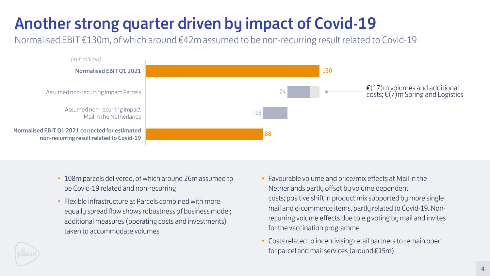- 108m parcels delivered, of which around 26m assumed to be Covid-19 related and non-recurring
- Flexible infrastructure at Parcels combined with more equally spread flow shows robustness of business model; additional measures (operating costs and investments) taken to accommodate volumes
- 
- 
- 
- 
- 



• Costs related to incentivising retail partners to remain open for parcel and mail services (around  $£15m$ )

• Favourable volume and price/mix effects at Mail in the Netherlands partly offset by volume dependent costs; positive shift in product mix supported by more single mail and e-commerce items, partly related to Covid-19. Nonrecurring volume effects due to e.g.voting by mail and invites for the vaccination programme

Normalised EBIT €130m, of which around €42m assumed to be non-recurring result related to Covid-19

## Another strong quarter driven by impact of Covid-19

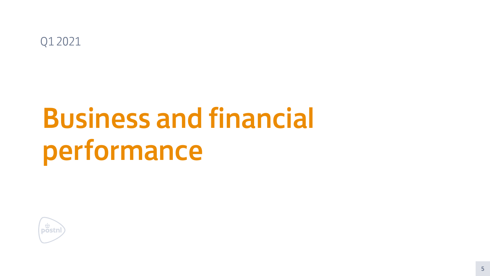# Business and financial performance



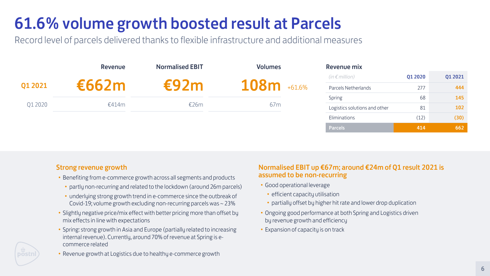#### Strong revenue growth

- Benefiting from e-commerce growth across all segments and products
	- partly non-recurring and related to the lockdown (around 26m parcels)
	- underlying strong growth trend in e-commerce since the outbreak of Covid-19; volume growth excluding non-recurring parcels was ~ 23%
- Slightly negative price/mix effect with better pricing more than offset by mix effects in line with expectations
- Spring: strong growth in Asia and Europe (partially related to increasing internal revenue). Currently, around 70% of revenue at Spring is ecommerce related
- Revenue growth at Logistics due to healthy e-commerce growth

#### Normalised EBIT up €67m; around €24m of Q1 result 2021 is assumed to be non-recurring

- efficient capacity utilisation
- partially offset by higher hit rate and lower drop duplication
- Ongoing good performance at both Spring and Logistics driven
- by revenue growth and efficiency
- Good operational leverage
	-
	-
- 
- Expansion of capacity is on track



Record level of parcels delivered thanks to flexible infrastructure and additional measures

|         | Revenue | <b>Normalised EBIT</b> | <b>Volumes</b>          | <b>Revenue mix</b>            |         |         |
|---------|---------|------------------------|-------------------------|-------------------------------|---------|---------|
|         |         |                        |                         | (in $\epsilon$ million)       | Q1 2020 | Q1 2021 |
| Q1 2021 | f662m   |                        | <b>108m</b><br>$+61.6%$ | <b>Parcels Netherlands</b>    | 277     | 444     |
|         |         |                        |                         | Spring                        | 68      | 145     |
| Q1 2020 | €414m   | E26m                   | 67m                     | Logistics solutions and other | 81      | 102     |
|         |         |                        |                         | Eliminations                  | (12)    | (30)    |
|         |         |                        |                         | Parcels                       | 414     | 662     |

## 61.6% volume growth boosted result at Parcels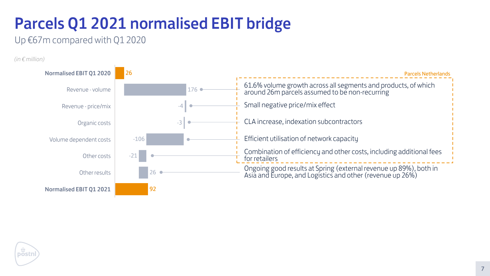## Parcels Q1 2021 normalised EBIT bridge

Up €67m compared with Q1 2020







*(in € million)*

| <b>Parcels Netherlands</b>                                                                                                     |  |
|--------------------------------------------------------------------------------------------------------------------------------|--|
| 61.6% volume growth across all segments and products, of which<br>around 26m parcels assumed to be non-recurring               |  |
| Small negative price/mix effect                                                                                                |  |
| CLA increase, indexation subcontractors                                                                                        |  |
| Efficient utilisation of network capacity                                                                                      |  |
| Combination of efficiency and other costs, including additional fees<br>for retailers                                          |  |
| Ongoing good results at Spring (external revenue up 89%), both in<br>Asia and Europe, and Logistics and other (revenue up 26%) |  |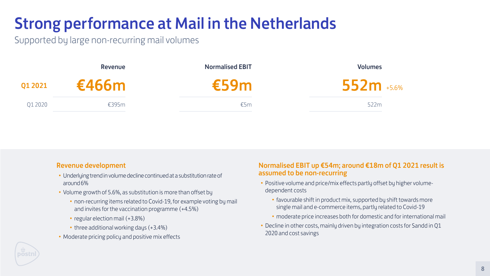| <b>Revenue development</b>                                                                                                 | <b>Normali</b>       |
|----------------------------------------------------------------------------------------------------------------------------|----------------------|
| • Underlying trend in volume decline continued at a substitution rate of<br>$around 6\%$                                   | assume<br>• Positive |
| • Volume growth of 5.6%, as substitution is more than offset by                                                            | depend               |
| • non-recurring items related to Covid-19, for example voting by mail<br>and invites for the vaccination programme (+4.5%) | $\bullet$ fav<br>sin |
| • regular election mail (+3.8%)                                                                                            | $\cdot$ mo           |
| • three additional working days (+3.4%)                                                                                    | • Decline            |
| • Moderate pricing policy and positive mix effects                                                                         | 2020 ar              |



#### Volumes 552m +5.6%

522m

#### ised EBIT up €54m; around €18m of Q1 2021 result is d to be non-recurring

- e volume and price/mix effects partly offset by higher volumedent costs
- vourable shift in product mix, supported by shift towards more ngle mail and e-commerce items, partly related to Covid-19
- oderate price increases both for domestic and for international mail
- e in other costs, mainly driven by integration costs for Sandd in Q1 nd cost savings

Supported by large non-recurring mail volumes

## Strong performance at Mail in the Netherlands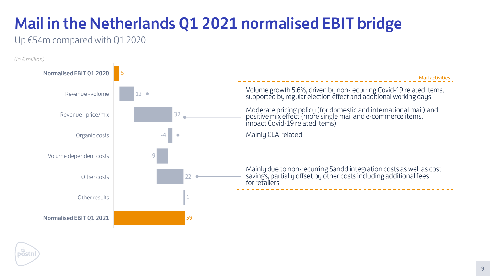Up €54m compared with Q1 2020

## Mail in the Netherlands Q1 2021 normalised EBIT bridge





*(in € million)*

Mail activities Volume growth 5.6%, driven by non-recurring Covid-19 related items, supported by regular election effect and additional working days Moderate pricing policy (for domestic and international mail) and positive mix effect (more single mail and e-commerce items, impact Covid-19 related items) Mainly due to non-recurring Sandd integration costs as well as cost savings, partially offset by other costs including additional fees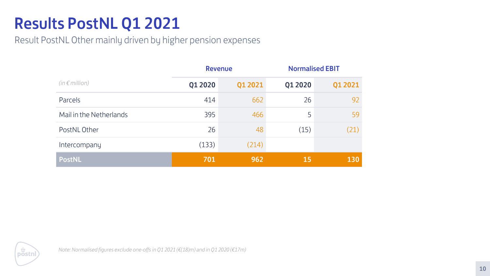## Results PostNL Q1 2021

|                         | <b>Revenue</b> |         |           | <b>Normalised EBIT</b> |
|-------------------------|----------------|---------|-----------|------------------------|
| $(in \in million)$      | Q1 2020        | Q1 2021 | Q1 2020   | Q1 2021                |
| Parcels                 | 414            | 662     | 26        | 92                     |
| Mail in the Netherlands | 395            | 466     | 5         | 59                     |
| PostNL Other            | 26             | 48      | (15)      | (21)                   |
| Intercompany            | (133)          | (214)   |           |                        |
| <b>PostNL</b>           | 701            | 962     | <b>15</b> | 130                    |



Result PostNL Other mainly driven by higher pension expenses

*Note: Normalised figures exclude one-offs in Q1 2021 (€(18)m) and in Q1 2020 (€17m)*

#### **Normalised EBIT**

| Q1 2020 | Q1 2021    |
|---------|------------|
| 26      | 92         |
| 5       | 59         |
| (15)    | (21)       |
|         |            |
| 15      | <b>130</b> |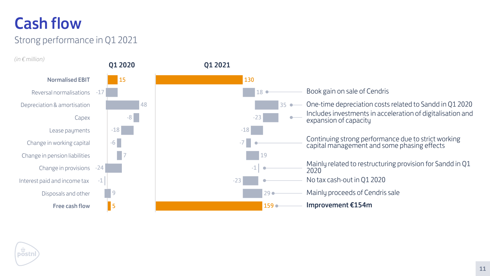### Strong performance in Q1 2021 Cash flow

- $35 -$ One-time depreciation costs related to Sandd in Q1 2020 Includes investments in acceleration of digitalisation and expansion of capacity
	- Continuing strong performance due to strict working capital management and some phasing effects
	- Mainly related to restructuring provision for Sandd in Q1 2020
	- No tax cash-out in Q1 2020
	- Mainly proceeds of Cendris sale
	- Improvement €154m





*(in € million)*

#### Book gain on sale of Cendris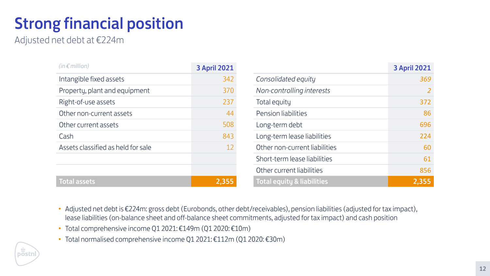Adjusted net debt at €224m

## Strong financial position

| $(in \in million)$                 | <b>3 April 2021</b> |                                       | <b>3 April 2021</b> |
|------------------------------------|---------------------|---------------------------------------|---------------------|
| Intangible fixed assets            | 342                 | Consolidated equity                   | 369                 |
| Property, plant and equipment      | 370                 | Non-controlling interests             | $\overline{2}$      |
| Right-of-use assets                | 237                 | Total equity                          | 372                 |
| Other non-current assets           | 44                  | <b>Pension liabilities</b>            | 86                  |
| Other current assets               | 508                 | Long-term debt                        | 696                 |
| Cash                               | 843                 | Long-term lease liabilities           | 224                 |
| Assets classified as held for sale | 12                  | Other non-current liabilities         | 60                  |
|                                    |                     | Short-term lease liabilities          | 61                  |
|                                    |                     | Other current liabilities             | 856                 |
| <b>Total assets</b>                | 2,355               | <b>Total equity &amp; liabilities</b> | 2,355               |

- Adjusted net debt is €224m: gross debt (Eurobonds, other debt/receivables), pension liabilities (adjusted for tax impact), lease liabilities (on-balance sheet and off-balance sheet commitments, adjusted for tax impact) and cash position
- Total comprehensive income Q1 2021: €149m (Q1 2020: €10m)
- Total normalised comprehensive income Q1 2021: €112m (Q1 2020: €30m)

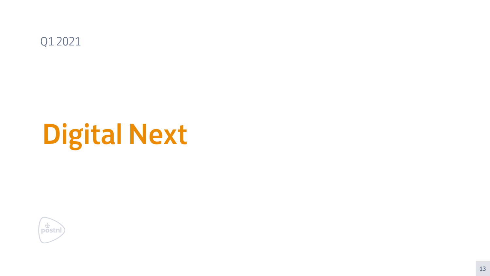# Digital Next





13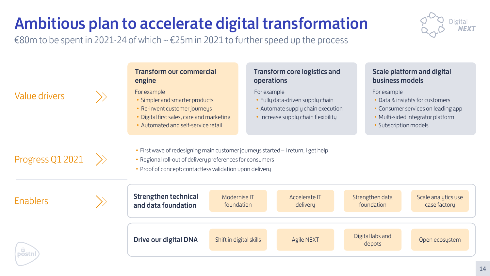## Ambitious plan to accelerate digital transformation

€80m to be spent in 2021-24 of which  $\sim$  €25m in 2021 to further speed up the process



- 
- 
- 

- 
- 
- 
-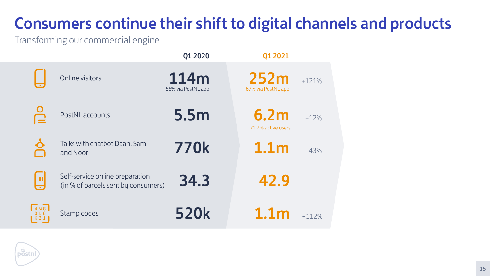Q1 2020 Q1 2021

Transforming our commercial engine

## Consumers continue their shift to digital channels and products

|                             | Online visitors                                                        | 114m<br>55% via PostNL app | 252m<br>67% via PostNL app | $+121%$ |
|-----------------------------|------------------------------------------------------------------------|----------------------------|----------------------------|---------|
| $\frac{1}{2}$               | PostNL accounts                                                        | 5.5m                       | 6.2m<br>71.7% active users | $+12%$  |
| $\frac{\delta}{\delta}$     | Talks with chatbot Daan, Sam<br>and Noor                               | <b>770k</b>                | 1.1 <sub>m</sub>           | $+43%$  |
| <u>um</u>                   | Self-service online preparation<br>(in % of parcels sent by consumers) | 34.3                       | 42.9                       |         |
| H M G N<br>0 L 6<br>< 3 1 J | Stamp codes                                                            | <b>520k</b>                | 1.1 <sub>m</sub>           | $+112%$ |
|                             |                                                                        |                            |                            |         |
|                             |                                                                        |                            |                            |         |



4  $\boldsymbol{0}$ K

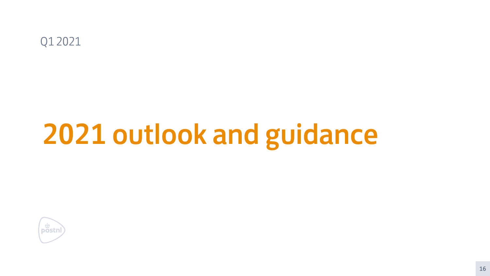# 2021 outlook and guidance



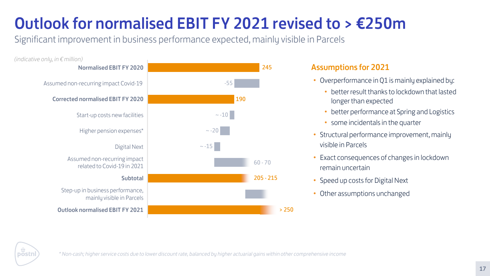## Outlook for normalised EBIT FY 2021 revised to  $> \epsilon$ 250m

Significant improvement in business performance expected, mainly visible in Parcels

### Assumptions for 2021

- Overperformance in Q1 is mainly explained by:
	- better result thanks to lockdown that lasted longer than expected
	- better performance at Spring and Logistics
	- some incidentals in the quarter
- Structural performance improvement, mainly visible in Parcels
- Exact consequences of changes in lockdown remain uncertain
- Speed up costs for Digital Next
- Other assumptions unchanged





*\* Non-cash; higher service costs due to lower discount rate, balanced by higher actuarial gains within other comprehensive income*

> 250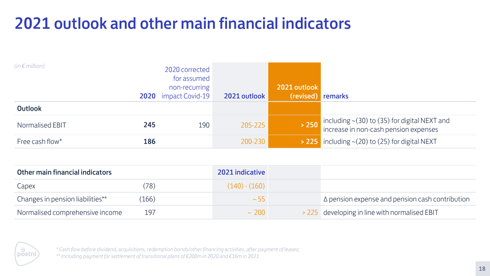## 2021 outlook and other main financial indicators

*\* Cash flow before dividend, acquisitions, redemption bonds/other financing activities, after payment of leases; \*\* Including payment for settlement of transitional plans of €200m in 2020 and €16m in 2021*

| $(in \in million)$ |     | 2020 corrected<br>for assumed<br>non-recurring<br>2020 impact Covid-19 | 2021 outlook | 2021 outlook<br>(revised) remarks |                                                                                             |
|--------------------|-----|------------------------------------------------------------------------|--------------|-----------------------------------|---------------------------------------------------------------------------------------------|
| Outlook            |     |                                                                        |              |                                   |                                                                                             |
| Normalised EBIT    | 245 | 190                                                                    | 205-225      | >250                              | including $\sim$ (30) to (35) for digital NEXT and<br>increase in non-cash pension expenses |
| Free cash flow*    | 186 |                                                                        | 200-230      |                                   | $\rightarrow$ 225 including $\sim$ (20) to (25) for digital NEXT                            |

| <b>Other main financial indicators</b> |      | <b>2021 indicative</b> |                                                        |
|----------------------------------------|------|------------------------|--------------------------------------------------------|
| Capex                                  | (78) | $(140) - (160)$        |                                                        |
| Changes in pension liabilities**       | 166) | $\sim$ 55              | $\Delta$ pension expense and pension cash contribution |
| Normalised comprehensive income        | 197  | $\sim$ 200             | > 225 developing in line with normalised EBIT          |

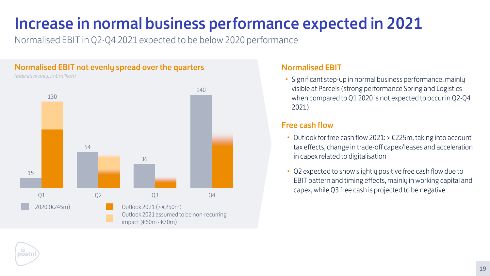Normalised EBIT in Q2-Q4 2021 expected to be below 2020 performance

## Increase in normal business performance expected in 2021

• Significant step-up in normal business performance, mainly visible at Parcels (strong performance Spring and Logistics when compared to Q1 2020 is not expected to occur in Q2-Q4 2021)

### Normalised EBIT





- Outlook for free cash flow 2021: > €225m, taking into account tax effects, change in trade-off capex/leases and acceleration in capex related to digitalisation
- Q2 expected to show slightly positive free cash flow due to EBIT pattern and timing effects, mainly in working capital and capex, while Q3 free cash is projected to be negative

#### Free cash flow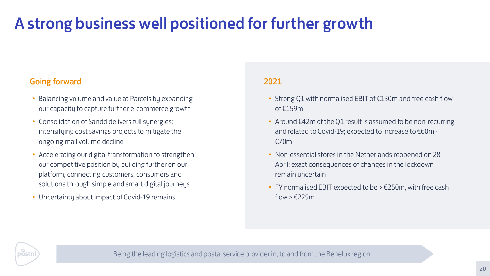## A strong business well positioned for further growth

Being the leading logistics and postal service provider in, to and from the Benelux region

• FY normalised EBIT expected to be  $> \text{\textsterling}250$ m, with free cash  $flow > £225m$ 

- Balancing volume and value at Parcels by expanding our capacity to capture further e-commerce growth
- Consolidation of Sandd delivers full synergies; intensifying cost savings projects to mitigate the ongoing mail volume decline
- Accelerating our digital transformation to strengthen our competitive position by building further on our platform, connecting customers, consumers and solutions through simple and smart digital journeys
- Uncertainty about impact of Covid-19 remains

#### Going forward

- Strong Q1 with normalised EBIT of €130m and free cash flow of €159m
- and related to Covid-19; expected to increase to €60m €70m
- Around €42m of the Q1 result is assumed to be non-recurring
- 
- Non-essential stores in the Netherlands reopened on 28 April; exact consequences of changes in the lockdown remain uncertain
- 
- 

postni

#### 2021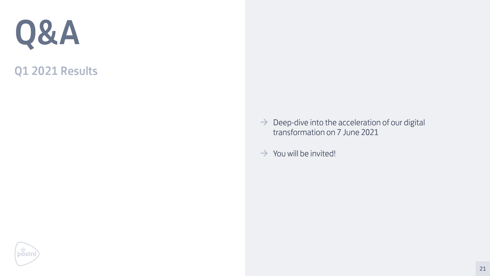### Q1 2021 Results





 $\rightarrow$  Deep-dive into the acceleration of our digital transformation on 7 June 2021

 $\rightarrow$  You will be invited!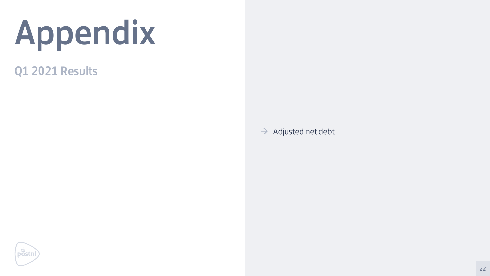### Q1 2021 Results



 $\rightarrow$  Adjusted net debt

# Appendix